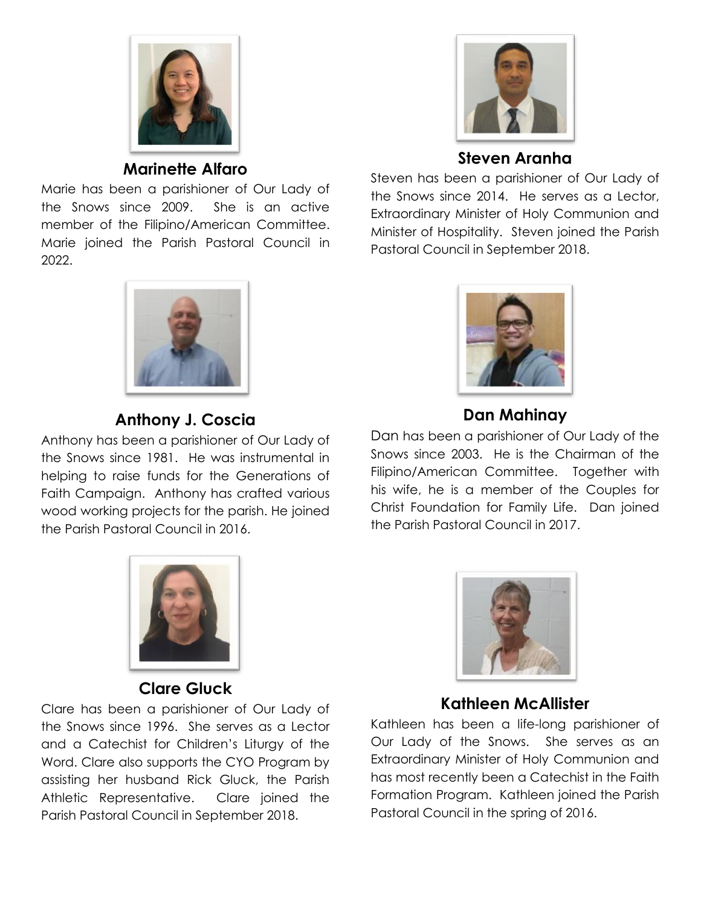

**Marinette Alfaro**

Marie has been a parishioner of Our Lady of the Snows since 2009. She is an active member of the Filipino/American Committee. Marie joined the Parish Pastoral Council in 2022.



## **Anthony J. Coscia**

Anthony has been a parishioner of Our Lady of the Snows since 1981. He was instrumental in helping to raise funds for the Generations of Faith Campaign. Anthony has crafted various wood working projects for the parish. He joined the Parish Pastoral Council in 2016.



#### **Clare Gluck**

Clare has been a parishioner of Our Lady of the Snows since 1996. She serves as a Lector and a Catechist for Children's Liturgy of the Word. Clare also supports the CYO Program by assisting her husband Rick Gluck, the Parish Athletic Representative. Clare joined the Parish Pastoral Council in September 2018.



## **Steven Aranha**

Steven has been a parishioner of Our Lady of the Snows since 2014. He serves as a Lector, Extraordinary Minister of Holy Communion and Minister of Hospitality. Steven joined the Parish Pastoral Council in September 2018.



# **Dan Mahinay**

Dan has been a parishioner of Our Lady of the Snows since 2003. He is the Chairman of the Filipino/American Committee. Together with his wife, he is a member of the Couples for Christ Foundation for Family Life. Dan joined the Parish Pastoral Council in 2017.



## **Kathleen McAllister**

Kathleen has been a life-long parishioner of Our Lady of the Snows. She serves as an Extraordinary Minister of Holy Communion and has most recently been a Catechist in the Faith Formation Program. Kathleen joined the Parish Pastoral Council in the spring of 2016.